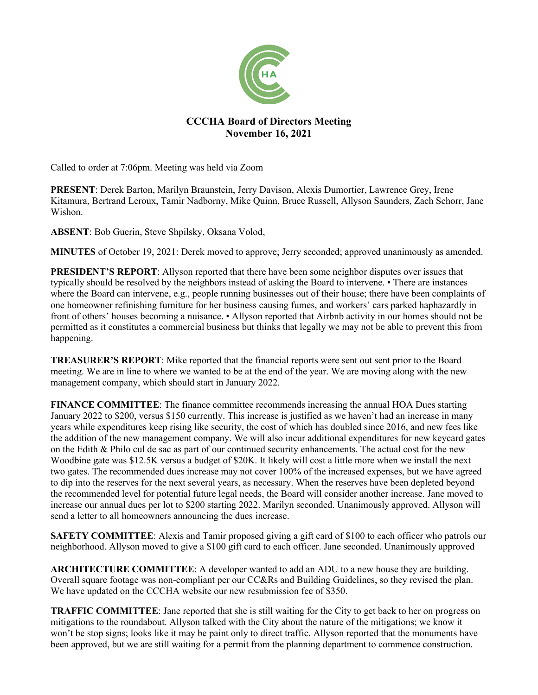

## **CCCHA Board of Directors Meeting November 16, 2021**

Called to order at 7:06pm. Meeting was held via Zoom

**PRESENT**: Derek Barton, Marilyn Braunstein, Jerry Davison, Alexis Dumortier, Lawrence Grey, Irene Kitamura, Bertrand Leroux, Tamir Nadborny, Mike Quinn, Bruce Russell, Allyson Saunders, Zach Schorr, Jane Wishon.

**ABSENT**: Bob Guerin, Steve Shpilsky, Oksana Volod,

**MINUTES** of October 19, 2021: Derek moved to approve; Jerry seconded; approved unanimously as amended.

**PRESIDENT'S REPORT:** Allyson reported that there have been some neighbor disputes over issues that typically should be resolved by the neighbors instead of asking the Board to intervene. • There are instances where the Board can intervene, e.g., people running businesses out of their house; there have been complaints of one homeowner refinishing furniture for her business causing fumes, and workers' cars parked haphazardly in front of others' houses becoming a nuisance. • Allyson reported that Airbnb activity in our homes should not be permitted as it constitutes a commercial business but thinks that legally we may not be able to prevent this from happening.

**TREASURER'S REPORT**: Mike reported that the financial reports were sent out sent prior to the Board meeting. We are in line to where we wanted to be at the end of the year. We are moving along with the new management company, which should start in January 2022.

**FINANCE COMMITTEE:** The finance committee recommends increasing the annual HOA Dues starting January 2022 to \$200, versus \$150 currently. This increase is justified as we haven't had an increase in many years while expenditures keep rising like security, the cost of which has doubled since 2016, and new fees like the addition of the new management company. We will also incur additional expenditures for new keycard gates on the Edith & Philo cul de sac as part of our continued security enhancements. The actual cost for the new Woodbine gate was \$12.5K versus a budget of \$20K. It likely will cost a little more when we install the next two gates. The recommended dues increase may not cover 100% of the increased expenses, but we have agreed to dip into the reserves for the next several years, as necessary. When the reserves have been depleted beyond the recommended level for potential future legal needs, the Board will consider another increase. Jane moved to increase our annual dues per lot to \$200 starting 2022. Marilyn seconded. Unanimously approved. Allyson will send a letter to all homeowners announcing the dues increase.

**SAFETY COMMITTEE**: Alexis and Tamir proposed giving a gift card of \$100 to each officer who patrols our neighborhood. Allyson moved to give a \$100 gift card to each officer. Jane seconded. Unanimously approved

**ARCHITECTURE COMMITTEE**: A developer wanted to add an ADU to a new house they are building. Overall square footage was non-compliant per our CC&Rs and Building Guidelines, so they revised the plan. We have updated on the CCCHA website our new resubmission fee of \$350.

**TRAFFIC COMMITTEE**: Jane reported that she is still waiting for the City to get back to her on progress on mitigations to the roundabout. Allyson talked with the City about the nature of the mitigations; we know it won't be stop signs; looks like it may be paint only to direct traffic. Allyson reported that the monuments have been approved, but we are still waiting for a permit from the planning department to commence construction.